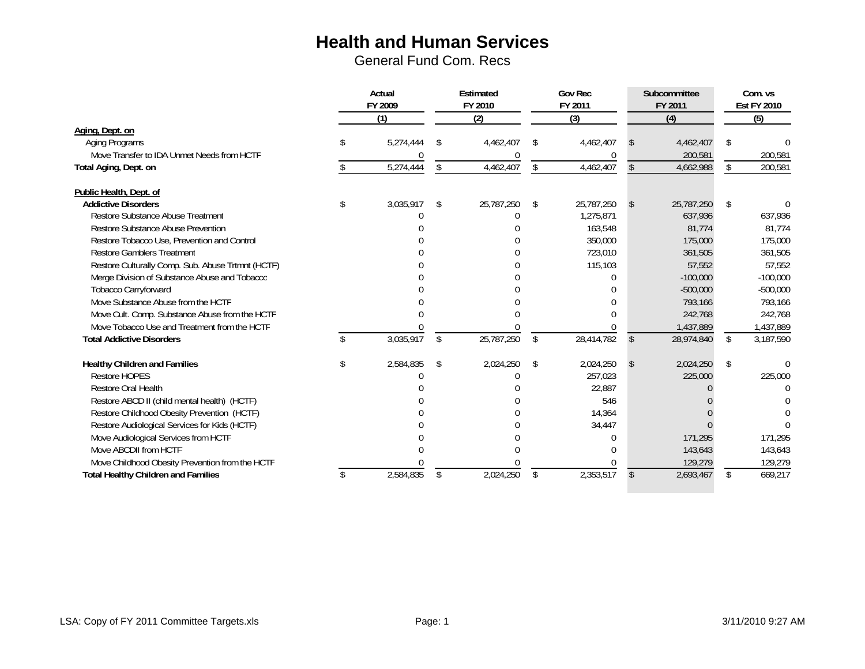|                                                   | Actual<br>FY 2009 |           |    | Estimated<br>FY 2010 |    | <b>Gov Rec</b><br>FY 2011 |               | Subcommittee<br>FY 2011 |     | Com. vs<br><b>Est FY 2010</b> |  |
|---------------------------------------------------|-------------------|-----------|----|----------------------|----|---------------------------|---------------|-------------------------|-----|-------------------------------|--|
|                                                   | (1)               |           |    | (2)                  |    | (3)                       |               | (4)                     | (5) |                               |  |
| Aging, Dept. on                                   |                   |           |    |                      |    |                           |               |                         |     |                               |  |
| <b>Aging Programs</b>                             |                   | 5,274,444 | -S | 4,462,407            | Ŝ. | 4,462,407                 |               | 4,462,407               | S   |                               |  |
| Move Transfer to IDA Unmet Needs from HCTF        |                   |           |    |                      |    |                           |               | 200,581                 |     | 200,581                       |  |
| Total Aging, Dept. on                             |                   | 5,274,444 |    | 4,462,407            | \$ | 4,462,407                 |               | 4,662,988               | \$  | 200,581                       |  |
| Public Health, Dept. of                           |                   |           |    |                      |    |                           |               |                         |     |                               |  |
| <b>Addictive Disorders</b>                        | \$                | 3,035,917 | Ŝ. | 25,787,250           | S  | 25,787,250                | <sup>\$</sup> | 25,787,250              | \$  |                               |  |
| <b>Restore Substance Abuse Treatment</b>          |                   |           |    |                      |    | 1,275,871                 |               | 637,936                 |     | 637,936                       |  |
| <b>Restore Substance Abuse Prevention</b>         |                   |           |    |                      |    | 163,548                   |               | 81,774                  |     | 81,774                        |  |
| Restore Tobacco Use, Prevention and Control       |                   |           |    |                      |    | 350,000                   |               | 175,000                 |     | 175,000                       |  |
| <b>Restore Gamblers Treatment</b>                 |                   |           |    |                      |    | 723,010                   |               | 361,505                 |     | 361,505                       |  |
| Restore Culturally Comp. Sub. Abuse Trtmnt (HCTF) |                   |           |    |                      |    | 115,103                   |               | 57,552                  |     | 57,552                        |  |
| Merge Division of Substance Abuse and Tobacco     |                   |           |    |                      |    | $\Omega$                  |               | $-100,000$              |     | $-100,000$                    |  |
| <b>Tobacco Carryforward</b>                       |                   |           |    |                      |    |                           |               | $-500,000$              |     | $-500,000$                    |  |
| Move Substance Abuse from the HCTF                |                   |           |    |                      |    | n                         |               | 793,166                 |     | 793,166                       |  |
| Move Cult. Comp. Substance Abuse from the HCTF    |                   |           |    |                      |    | $\cap$                    |               | 242,768                 |     | 242,768                       |  |
| Move Tobacco Use and Treatment from the HCTF      |                   |           |    |                      |    |                           |               | 1,437,889               |     | 1,437,889                     |  |
| <b>Total Addictive Disorders</b>                  |                   | 3,035,917 | \$ | 25,787,250           | \$ | 28,414,782                | \$            | 28,974,840              | \$  | 3,187,590                     |  |
| <b>Healthy Children and Families</b>              | S.                | 2,584,835 | -S | 2,024,250            | \$ | 2,024,250                 | <sup>\$</sup> | 2,024,250               | \$  |                               |  |
| <b>Restore HOPES</b>                              |                   |           |    |                      |    | 257,023                   |               | 225,000                 |     | 225,000                       |  |
| <b>Restore Oral Health</b>                        |                   |           |    |                      |    | 22,887                    |               |                         |     |                               |  |
| Restore ABCD II (child mental health) (HCTF)      |                   |           |    |                      |    | 546                       |               |                         |     |                               |  |
| Restore Childhood Obesity Prevention (HCTF)       |                   |           |    |                      |    | 14,364                    |               |                         |     |                               |  |
| Restore Audiological Services for Kids (HCTF)     |                   |           |    |                      |    | 34,447                    |               |                         |     |                               |  |
| Move Audiological Services from HCTF              |                   |           |    |                      |    | 0                         |               | 171,295                 |     | 171,295                       |  |
| Move ABCDII from HCTF                             |                   |           |    |                      |    | ſ                         |               | 143,643                 |     | 143,643                       |  |
| Move Childhood Obesity Prevention from the HCTF   |                   |           |    |                      |    | $\Omega$                  |               | 129,279                 |     | 129,279                       |  |
| <b>Total Healthy Children and Families</b>        |                   | 2,584,835 | S  | 2,024,250            | \$ | 2,353,517                 | <sup>\$</sup> | 2,693,467               | \$  | 669,217                       |  |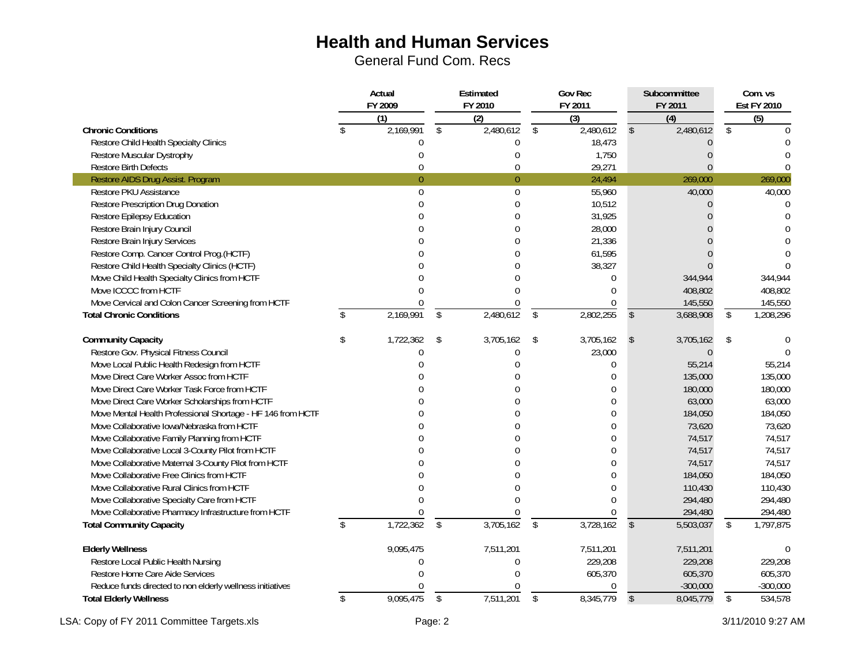General Fund Com. Recs

|                                                             | Actual<br>FY 2009 |                  |                | Estimated<br>FY 2010 | <b>Gov Rec</b><br>FY 2011   |               | Subcommittee<br>FY 2011 | Com. vs<br><b>Est FY 2010</b> |            |  |
|-------------------------------------------------------------|-------------------|------------------|----------------|----------------------|-----------------------------|---------------|-------------------------|-------------------------------|------------|--|
|                                                             |                   | $\overline{(1)}$ |                | $\overline{(2)}$     | $\overline{(\overline{3})}$ |               | $\overline{(4)}$        |                               | (5)        |  |
| <b>Chronic Conditions</b>                                   |                   | 2,169,991        | \$             | 2,480,612            | \$<br>2,480,612             | $\mathbb{S}$  | 2,480,612               | \$                            |            |  |
| Restore Child Health Specialty Clinics                      |                   | O                |                | $\Omega$             | 18,473                      |               | $\Omega$                |                               |            |  |
| Restore Muscular Dystrophy                                  |                   | $\Omega$         |                | $\Omega$             | 1,750                       |               | $\Omega$                |                               |            |  |
| <b>Restore Birth Defects</b>                                |                   | $\Omega$         |                | $\Omega$             | 29,271                      |               | $\Omega$                |                               | $\Omega$   |  |
| Restore AIDS Drug Assist. Program                           |                   | $\overline{0}$   |                | $\overline{0}$       | 24,494                      |               | 269,000                 |                               | 269,000    |  |
| Restore PKU Assistance                                      |                   | $\overline{0}$   |                | $\mathbf 0$          | 55,960                      |               | 40,000                  |                               | 40,000     |  |
| Restore Prescription Drug Donation                          |                   | $\Omega$         |                | $\theta$             | 10,512                      |               | $\Omega$                |                               | $\theta$   |  |
| <b>Restore Epilepsy Education</b>                           |                   |                  |                | $\Omega$             | 31,925                      |               |                         |                               |            |  |
| Restore Brain Injury Council                                |                   |                  |                | $\Omega$             | 28,000                      |               |                         |                               |            |  |
| Restore Brain Injury Services                               |                   |                  |                | $\Omega$             | 21,336                      |               |                         |                               |            |  |
| Restore Comp. Cancer Control Prog.(HCTF)                    |                   |                  |                |                      | 61,595                      |               |                         |                               |            |  |
| Restore Child Health Specialty Clinics (HCTF)               |                   |                  |                |                      | 38,327                      |               |                         |                               | $\Omega$   |  |
| Move Child Health Specialty Clinics from HCTF               |                   |                  |                |                      | $\mathbf{0}$                |               | 344,944                 |                               | 344,944    |  |
| Move ICCCC from HCTF                                        |                   |                  |                | $\Omega$             | $\theta$                    |               | 408,802                 |                               | 408,802    |  |
| Move Cervical and Colon Cancer Screening from HCTF          |                   | $\Omega$         |                | $\Omega$             | $\mathbf 0$                 |               | 145,550                 |                               | 145,550    |  |
| <b>Total Chronic Conditions</b>                             | $\mathcal{S}$     | 2,169,991        | $\mathfrak{L}$ | 2,480,612            | \$<br>2,802,255             | $\mathcal{S}$ | 3,688,908               | \$                            | 1,208,296  |  |
| <b>Community Capacity</b>                                   | \$                | 1,722,362        | \$             | 3,705,162            | \$<br>3,705,162             | $\mathsf{\$}$ | 3,705,162               | \$                            |            |  |
| Restore Gov. Physical Fitness Council                       |                   | O                |                | 0                    | 23,000                      |               | $\theta$                |                               |            |  |
| Move Local Public Health Redesign from HCTF                 |                   |                  |                |                      | $\mathbf{0}$                |               | 55,214                  |                               | 55,214     |  |
| Move Direct Care Worker Assoc from HCTF                     |                   |                  |                |                      | $\mathbf{0}$                |               | 135,000                 |                               | 135,000    |  |
| Move Direct Care Worker Task Force from HCTF                |                   |                  |                |                      | $\theta$                    |               | 180,000                 |                               | 180,000    |  |
| Move Direct Care Worker Scholarships from HCTF              |                   |                  |                |                      | 0                           |               | 63,000                  |                               | 63,000     |  |
| Move Mental Health Professional Shortage - HF 146 from HCTF |                   |                  |                |                      | $\mathbf{0}$                |               | 184,050                 |                               | 184,050    |  |
| Move Collaborative Iowa/Nebraska from HCTF                  |                   |                  |                |                      | 0                           |               | 73,620                  |                               | 73,620     |  |
| Move Collaborative Family Planning from HCTF                |                   |                  |                |                      | $\mathbf{0}$                |               | 74,517                  |                               | 74,517     |  |
| Move Collaborative Local 3-County Pilot from HCTF           |                   |                  |                |                      | 0                           |               | 74,517                  |                               | 74,517     |  |
| Move Collaborative Maternal 3-County Pilot from HCTF        |                   |                  |                |                      | $\mathbf{0}$                |               | 74,517                  |                               | 74,517     |  |
| Move Collaborative Free Clinics from HCTF                   |                   |                  |                |                      | $\theta$                    |               | 184,050                 |                               | 184,050    |  |
| Move Collaborative Rural Clinics from HCTF                  |                   |                  |                |                      | $\Omega$                    |               | 110,430                 |                               | 110,430    |  |
| Move Collaborative Specialty Care from HCTF                 |                   |                  |                |                      | $\Omega$                    |               | 294,480                 |                               | 294,480    |  |
| Move Collaborative Pharmacy Infrastructure from HCTF        |                   |                  |                | $\Omega$             | $\Omega$                    |               | 294,480                 |                               | 294,480    |  |
| <b>Total Community Capacity</b>                             | \$                | 1,722,362        | \$             | 3,705,162            | \$<br>3,728,162             | $\mathbb{S}$  | 5,503,037               | \$                            | 1,797,875  |  |
| <b>Elderly Wellness</b>                                     |                   | 9,095,475        |                | 7,511,201            | 7,511,201                   |               | 7,511,201               |                               | $\Omega$   |  |
| Restore Local Public Health Nursing                         |                   | $\Omega$         |                | $\theta$             | 229,208                     |               | 229,208                 |                               | 229,208    |  |
| Restore Home Care Aide Services                             |                   |                  |                | $\Omega$             | 605,370                     |               | 605,370                 |                               | 605,370    |  |
| Reduce funds directed to non elderly wellness initiatives   |                   |                  |                |                      | $\mathbf 0$                 |               | $-300,000$              |                               | $-300,000$ |  |
| <b>Total Elderly Wellness</b>                               | \$                | 9,095,475        | \$             | 7,511,201            | \$<br>8,345,779             | $\mathcal{S}$ | 8,045,779               | \$                            | 534,578    |  |

LSA: Copy of FY 2011 Committee Targets.xls **Exercise 2** Page: 2 3/11/2010 9:27 AM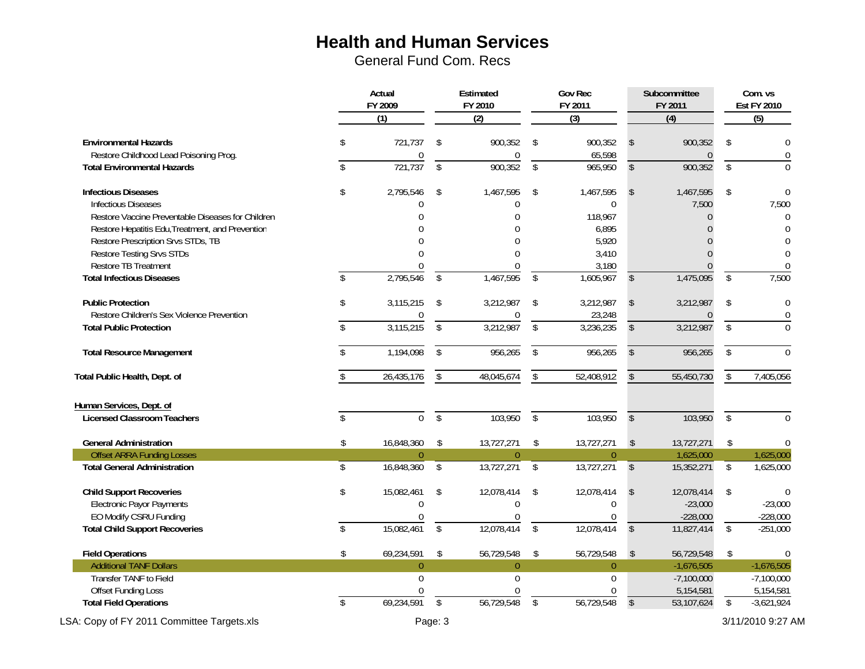|                                                                        | Actual<br>FY 2009 |               |                 | Estimated<br>FY 2010 |                    | <b>Gov Rec</b><br>FY 2011   |                         | Subcommittee<br>FY 2011 | Com. vs<br><b>Est FY 2010</b> |                           |  |
|------------------------------------------------------------------------|-------------------|---------------|-----------------|----------------------|--------------------|-----------------------------|-------------------------|-------------------------|-------------------------------|---------------------------|--|
|                                                                        |                   | (1)           |                 | (2)                  |                    | $\overline{(\overline{3})}$ |                         | (4)                     |                               | (5)                       |  |
| <b>Environmental Hazards</b><br>Restore Childhood Lead Poisoning Prog. | S.                | 721,737<br>0  | \$              | 900,352<br>0         | -\$                | 900,352<br>65,598           | \$                      | 900,352<br>0            | \$                            | $\Omega$<br>$\mathbf 0$   |  |
| <b>Total Environmental Hazards</b>                                     | $\mathsf{\$}$     | 721,737       | $\overline{\$}$ | 900,352              | $\overline{\$}$    | 965,950                     | $\mathbb{S}$            | 900,352                 | $\overline{\$}$               | $\Omega$                  |  |
| <b>Infectious Diseases</b>                                             | \$                | 2,795,546     | \$              | 1,467,595            | \$                 | 1,467,595                   | \$                      | 1,467,595               | \$                            | $\theta$                  |  |
| <b>Infectious Diseases</b>                                             |                   | U             |                 | 0                    |                    | $\mathbf{0}$                |                         | 7,500                   |                               | 7,500                     |  |
| Restore Vaccine Preventable Diseases for Children                      |                   |               |                 |                      |                    | 118,967                     |                         | $\Omega$                |                               | $\theta$                  |  |
| Restore Hepatitis Edu, Treatment, and Prevention                       |                   |               |                 |                      |                    | 6,895                       |                         |                         |                               | $\Omega$                  |  |
| Restore Prescription Srvs STDs, TB<br><b>Restore Testing Srvs STDs</b> |                   |               |                 |                      |                    | 5,920<br>3,410              |                         |                         |                               | $\theta$                  |  |
| Restore TB Treatment                                                   |                   |               |                 |                      |                    | 3,180                       |                         | $\Omega$                |                               | $\mathbf{0}$              |  |
| <b>Total Infectious Diseases</b>                                       | \$                | 2,795,546     | \$              | 1,467,595            | $\mathfrak{L}$     | 1,605,967                   | \$                      | 1,475,095               | \$                            | 7,500                     |  |
| <b>Public Protection</b>                                               | \$                | 3,115,215     | \$              | 3,212,987            | \$                 | 3,212,987                   | \$                      | 3,212,987               | \$                            | $\overline{0}$            |  |
| Restore Children's Sex Violence Prevention                             |                   |               |                 | 0                    |                    | 23,248                      |                         |                         |                               | $\mathbf{0}$              |  |
| <b>Total Public Protection</b>                                         | \$                | 3,115,215     | \$              | 3,212,987            | \$                 | 3,236,235                   | \$                      | 3,212,987               | \$                            | $\Omega$                  |  |
| <b>Total Resource Management</b>                                       | \$                | 1,194,098     | \$              | 956,265              | \$                 | 956,265                     | $\mathcal{S}$           | 956,265                 | \$                            | $\Omega$                  |  |
| Total Public Health, Dept. of                                          |                   | 26,435,176    | \$              | 48,045,674           | \$                 | 52,408,912                  |                         | 55,450,730              | \$                            | 7,405,056                 |  |
| Human Services, Dept. of                                               |                   |               |                 |                      |                    |                             |                         |                         |                               |                           |  |
| <b>Licensed Classroom Teachers</b>                                     | \$                | $\Omega$      | $\mathcal{S}$   | 103,950              | $\mathbf{\hat{S}}$ | 103,950                     | $\mathcal{S}$           | 103,950                 | $\overline{\$}$               | $\Omega$                  |  |
| <b>General Administration</b>                                          | \$                | 16,848,360    | \$              | 13,727,271           | \$                 | 13,727,271                  | $\sqrt[6]{2}$           | 13,727,271              | \$                            | $\Omega$                  |  |
| <b>Offset ARRA Funding Losses</b>                                      |                   | $\Omega$      |                 | $\theta$             |                    | $\theta$                    |                         | 1,625,000               |                               | 1,625,000                 |  |
| <b>Total General Administration</b>                                    | \$                | 16,848,360    | \$              | 13,727,271           | \$                 | 13,727,271                  | $\sqrt[6]{\frac{1}{2}}$ | 15,352,271              | \$                            | 1,625,000                 |  |
| <b>Child Support Recoveries</b>                                        | \$                | 15,082,461    | \$              | 12,078,414           | \$                 | 12,078,414                  | $\mathsf{\$}$           | 12,078,414              | \$                            | $\theta$                  |  |
| <b>Electronic Payor Payments</b>                                       |                   | $\Omega$      |                 | $\Omega$             |                    | $\boldsymbol{0}$            |                         | $-23,000$               |                               | $-23,000$                 |  |
| EO Modify CSRU Funding                                                 |                   | U             |                 | U                    |                    | $\theta$                    |                         | $-228,000$              |                               | $-228,000$                |  |
| <b>Total Child Support Recoveries</b>                                  | $\mathcal{S}$     | 15,082,461    | $\mathcal{S}$   | 12,078,414           | $\mathcal{S}$      | 12,078,414                  | $\mathsf{\$}$           | 11,827,414              | $\mathbb{S}$                  | $-251,000$                |  |
| <b>Field Operations</b>                                                | \$                | 69,234,591    | \$              | 56,729,548           | \$                 | 56,729,548                  | $\mathsf{\$}$           | 56,729,548              | \$                            | $\theta$                  |  |
| <b>Additional TANF Dollars</b>                                         |                   | $\theta$      |                 | $\theta$             |                    | $\overline{0}$              |                         | $-1,676,505$            |                               | $-1,676,505$              |  |
| Transfer TANF to Field                                                 |                   | $\Omega$<br>U |                 | $\Omega$             |                    | $\Omega$                    |                         | $-7,100,000$            |                               | $-7,100,000$              |  |
| <b>Offset Funding Loss</b>                                             | \$                | 69,234,591    | \$              | 56,729,548           | \$                 | $\Omega$<br>56,729,548      | \$                      | 5,154,581<br>53,107,624 | \$                            | 5,154,581<br>$-3,621,924$ |  |
| <b>Total Field Operations</b>                                          |                   |               |                 |                      |                    |                             |                         |                         |                               |                           |  |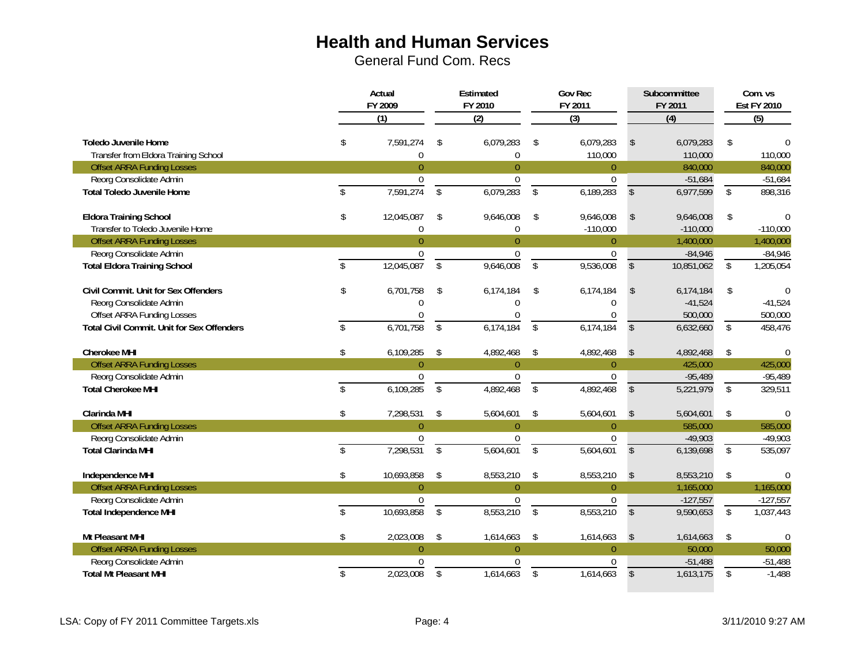|                                                              | Actual<br>FY 2009 |                               |                         | Estimated<br>FY 2010          |                         | <b>Gov Rec</b><br>FY 2011   |                         | Subcommittee<br>FY 2011 | Com. vs<br><b>Est FY 2010</b> |                  |  |
|--------------------------------------------------------------|-------------------|-------------------------------|-------------------------|-------------------------------|-------------------------|-----------------------------|-------------------------|-------------------------|-------------------------------|------------------|--|
|                                                              |                   | $\overline{(1)}$              |                         | (2)                           |                         | $\overline{(\overline{3})}$ |                         | $\overline{(4)}$        |                               | $\overline{(5)}$ |  |
| Toledo Juvenile Home<br>Transfer from Eldora Training School | \$                | 7,591,274<br>$\boldsymbol{0}$ | \$                      | 6,079,283<br>$\boldsymbol{0}$ | \$                      | 6,079,283<br>110,000        | \$                      | 6,079,283<br>110,000    | \$                            | 110,000          |  |
| <b>Offset ARRA Funding Losses</b>                            |                   | $\pmb{0}$                     |                         | $\boldsymbol{0}$              |                         | $\pmb{0}$                   |                         | 840,000                 |                               | 840,000          |  |
| Reorg Consolidate Admin                                      |                   | $\mathbf 0$                   |                         | $\mathbf 0$                   |                         | $\mathbf 0$                 |                         | $-51,684$               |                               | $-51,684$        |  |
| <b>Total Toledo Juvenile Home</b>                            | \$                | 7,591,274                     | \$                      | 6,079,283                     | \$                      | 6,189,283                   | $\mathcal{S}$           | 6,977,599               | \$                            | 898,316          |  |
| <b>Eldora Training School</b>                                | \$                | 12,045,087                    | \$                      | 9,646,008                     | \$                      | 9,646,008                   | $\mathsf{\$}$           | 9,646,008               | \$                            | $\mathbf{0}$     |  |
| Transfer to Toledo Juvenile Home                             |                   | $\overline{0}$                |                         | $\mathbf{0}$                  |                         | $-110,000$                  |                         | $-110,000$              |                               | $-110,000$       |  |
| <b>Offset ARRA Funding Losses</b>                            |                   | $\overline{0}$                |                         | $\overline{0}$                |                         | $\overline{0}$              |                         | 1,400,000               |                               | 1,400,000        |  |
| Reorg Consolidate Admin                                      |                   | $\pmb{0}$                     |                         | $\pmb{0}$                     |                         | $\pmb{0}$                   |                         | $-84,946$               |                               | $-84,946$        |  |
| <b>Total Eldora Training School</b>                          | \$                | 12,045,087                    | \$                      | 9,646,008                     | \$                      | 9,536,008                   | \$                      | 10,851,062              | \$                            | 1,205,054        |  |
| Civil Commit. Unit for Sex Offenders                         | \$                | 6,701,758                     | \$                      | 6,174,184                     | \$                      | 6,174,184                   | \$                      | 6,174,184               | \$                            | $\theta$         |  |
| Reorg Consolidate Admin                                      |                   | $\Omega$                      |                         | $\theta$                      |                         | $\theta$                    |                         | $-41,524$               |                               | $-41,524$        |  |
| <b>Offset ARRA Funding Losses</b>                            |                   | $\Omega$                      |                         | $\Omega$                      |                         | $\Omega$                    |                         | 500,000                 |                               | 500,000          |  |
| <b>Total Civil Commit. Unit for Sex Offenders</b>            | $\mathcal{S}$     | 6,701,758                     | $\overline{\mathsf{s}}$ | 6,174,184                     | $\overline{\mathsf{s}}$ | 6,174,184                   | $\mathsf{\$}$           | 6,632,660               | $\overline{\mathsf{S}}$       | 458,476          |  |
| <b>Cherokee MHI</b>                                          | \$                | 6,109,285                     | \$                      | 4,892,468                     | \$                      | 4,892,468                   | $\sqrt[6]{2}$           | 4,892,468               | \$                            | $\theta$         |  |
| <b>Offset ARRA Funding Losses</b>                            |                   | $\overline{0}$                |                         | $\overline{0}$                |                         | $\overline{0}$              |                         | 425,000                 |                               | 425,000          |  |
| Reorg Consolidate Admin                                      |                   | $\Omega$                      |                         | $\Omega$                      |                         | $\Omega$                    |                         | $-95,489$               |                               | $-95,489$        |  |
| <b>Total Cherokee MHI</b>                                    | \$                | 6,109,285                     | \$                      | 4,892,468                     | \$                      | 4,892,468                   | $\sqrt[6]{\frac{1}{2}}$ | 5,221,979               | $\overline{\$}$               | 329,511          |  |
| <b>Clarinda MHI</b>                                          | \$                | 7,298,531                     | \$                      | 5,604,601                     | \$                      | 5,604,601                   | \$                      | 5,604,601               | \$                            | $\theta$         |  |
| <b>Offset ARRA Funding Losses</b>                            |                   | $\overline{0}$                |                         | $\overline{0}$                |                         | $\theta$                    |                         | 585,000                 |                               | 585,000          |  |
| Reorg Consolidate Admin                                      |                   | $\mathbf 0$                   |                         | $\mathbf 0$                   |                         | $\mathbf 0$                 |                         | $-49,903$               |                               | $-49,903$        |  |
| <b>Total Clarinda MHI</b>                                    | \$                | 7,298,531                     | \$                      | 5,604,601                     | \$                      | 5,604,601                   | $\mathsf{\$}$           | 6,139,698               | $\mathbb{S}$                  | 535,097          |  |
| Independence MHI                                             | \$                | 10,693,858                    | \$                      | 8,553,210                     | \$                      | 8,553,210                   | $\mathsf{\$}$           | 8,553,210               | \$                            | $\Omega$         |  |
| <b>Offset ARRA Funding Losses</b>                            |                   | $\theta$                      |                         | $\overline{0}$                |                         | $\overline{0}$              |                         | 1,165,000               |                               | 1,165,000        |  |
| Reorg Consolidate Admin                                      |                   | $\overline{0}$                |                         | $\mathbf{0}$                  |                         | $\pmb{0}$                   |                         | $-127,557$              |                               | $-127,557$       |  |
| <b>Total Independence MHI</b>                                | \$                | 10,693,858                    | \$                      | 8,553,210                     | \$                      | 8,553,210                   | \$                      | 9,590,653               | \$                            | 1,037,443        |  |
| Mt Pleasant MHI                                              | \$                | 2,023,008                     | \$                      | 1,614,663                     | \$                      | 1,614,663                   | $\mathsf{\$}$           | 1,614,663               | \$                            |                  |  |
| <b>Offset ARRA Funding Losses</b>                            |                   | $\overline{0}$                |                         | $\overline{0}$                |                         | $\overline{0}$              |                         | 50,000                  |                               | 50,000           |  |
| Reorg Consolidate Admin                                      |                   | 0                             |                         | $\mathbf 0$                   |                         | 0                           |                         | $-51,488$               |                               | $-51,488$        |  |
| <b>Total Mt Pleasant MHI</b>                                 | \$                | 2,023,008                     | $\mathsf{\$}$           | 1,614,663                     | $\mathbf{\hat{S}}$      | 1,614,663                   | $\mathsf{\$}$           | 1,613,175               | $\overline{\$}$               | $-1,488$         |  |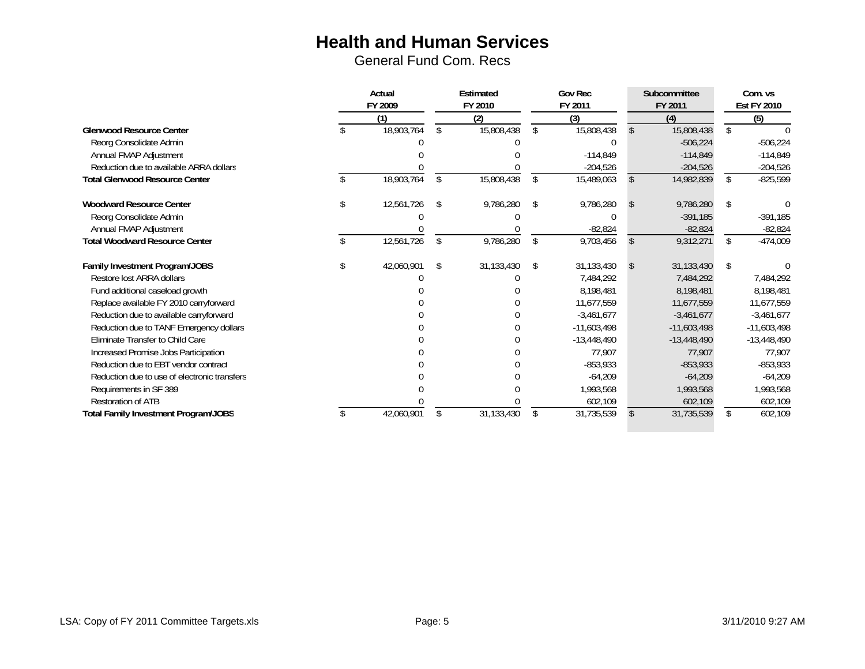|                                              | Actual     |     | Estimated  | <b>Gov Rec</b>     |               |    | Subcommittee  | Com. vs |                    |  |  |
|----------------------------------------------|------------|-----|------------|--------------------|---------------|----|---------------|---------|--------------------|--|--|
|                                              | FY 2009    |     | FY 2010    |                    | FY 2011       |    | FY 2011       |         | <b>Est FY 2010</b> |  |  |
|                                              | (1)        |     | (2)        |                    | (3)           |    | (4)           |         | (5)                |  |  |
| <b>Glenwood Resource Center</b>              | 18,903,764 | \$. | 15,808,438 | $\mathbf{\hat{s}}$ | 15,808,438    |    | 15,808,438    | \$.     |                    |  |  |
| Reorg Consolidate Admin                      |            |     |            |                    |               |    | $-506,224$    |         | $-506,224$         |  |  |
| Annual FMAP Adjustment                       |            |     |            |                    | $-114,849$    |    | $-114,849$    |         | $-114,849$         |  |  |
| Reduction due to available ARRA dollars      |            |     |            |                    | $-204,526$    |    | $-204,526$    |         | $-204,526$         |  |  |
| <b>Total Glenwood Resource Center</b>        | 18,903,764 | \$  | 15,808,438 | \$                 | 15,489,063    |    | 14,982,839    | \$      | $-825,599$         |  |  |
| <b>Woodward Resource Center</b>              | 12,561,726 | -\$ | 9,786,280  | - \$               | 9,786,280     |    | 9,786,280     |         |                    |  |  |
| Reorg Consolidate Admin                      |            |     |            |                    |               |    | $-391,185$    |         | $-391,185$         |  |  |
| Annual FMAP Adjustment                       |            |     |            |                    | $-82,824$     |    | $-82,824$     |         | $-82,824$          |  |  |
| <b>Total Woodward Resource Center</b>        | 12,561,726 | \$  | 9,786,280  | \$                 | 9,703,456     |    | 9,312,271     | \$      | $-474,009$         |  |  |
| Family Investment Program/JOBS               | 42,060,901 | -\$ | 31,133,430 | -\$                | 31,133,430    | -S | 31,133,430    | \$      |                    |  |  |
| Restore lost ARRA dollars                    |            |     |            |                    | 7,484,292     |    | 7,484,292     |         | 7,484,292          |  |  |
| Fund additional caseload growth              |            |     |            |                    | 8,198,481     |    | 8.198.481     |         | 8,198,481          |  |  |
| Replace available FY 2010 carryforward       |            |     |            |                    | 11,677,559    |    | 11,677,559    |         | 11,677,559         |  |  |
| Reduction due to available carryforward      |            |     |            |                    | $-3,461,677$  |    | $-3,461,677$  |         | $-3,461,677$       |  |  |
| Reduction due to TANF Emergency dollars      |            |     |            |                    | $-11,603,498$ |    | $-11,603,498$ |         | $-11,603,498$      |  |  |
| Eliminate Transfer to Child Care             |            |     |            |                    | $-13,448,490$ |    | $-13,448,490$ |         | $-13,448,490$      |  |  |
| Increased Promise Jobs Participation         |            |     |            |                    | 77,907        |    | 77,907        |         | 77,907             |  |  |
| Reduction due to EBT vendor contract         |            |     |            |                    | $-853,933$    |    | $-853,933$    |         | $-853,933$         |  |  |
| Reduction due to use of electronic transfers |            |     |            |                    | $-64,209$     |    | $-64,209$     |         | $-64,209$          |  |  |
| Requirements in SF 389                       |            |     |            |                    | 1,993,568     |    | 1,993,568     |         | 1,993,568          |  |  |
| <b>Restoration of ATB</b>                    |            |     |            |                    | 602,109       |    | 602,109       |         | 602,109            |  |  |
| Total Family Investment Program/JOBS         | 42,060,901 | \$. | 31,133,430 | <sup>\$</sup>      | 31,735,539    |    | 31,735,539    |         | 602,109            |  |  |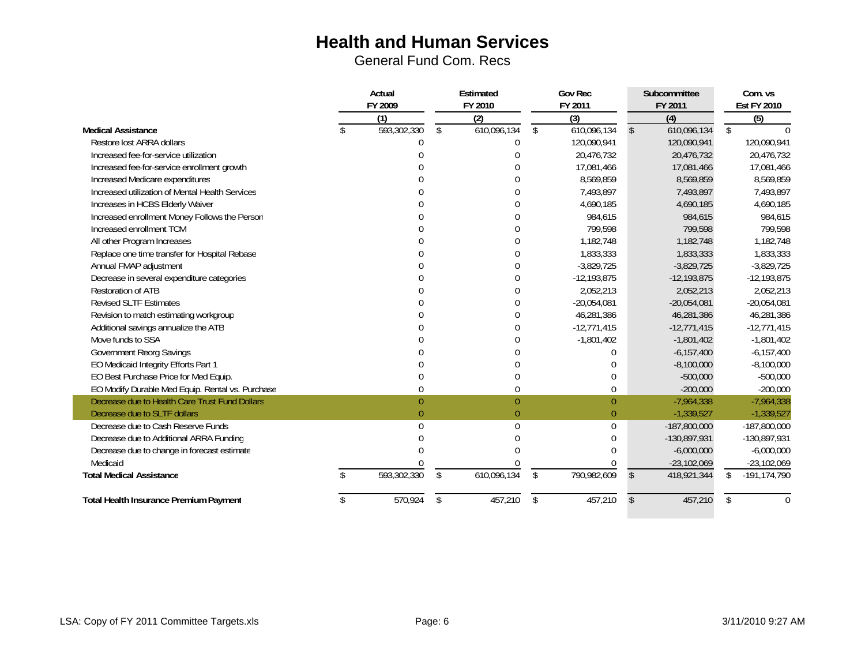|                                                  | Actual  |                  | Estimated         | <b>Gov Rec</b>    |              | Subcommittee   |              | Com. vs            |
|--------------------------------------------------|---------|------------------|-------------------|-------------------|--------------|----------------|--------------|--------------------|
|                                                  | FY 2009 |                  | FY 2010           | FY 2011           | FY 2011      |                |              | <b>Est FY 2010</b> |
|                                                  |         | (1)              | (2)               | (3)               |              | (4)            |              | (5)                |
| <b>Medical Assistance</b>                        |         | 593,302,330      | \$<br>610,096,134 | \$<br>610,096,134 | $\mathbb{S}$ | 610,096,134    | \$           |                    |
| Restore lost ARRA dollars                        |         |                  | $\Omega$          | 120,090,941       |              | 120,090,941    |              | 120,090,941        |
| Increased fee-for-service utilization            |         |                  |                   | 20,476,732        |              | 20,476,732     |              | 20,476,732         |
| Increased fee-for-service enrollment growth      |         |                  |                   | 17,081,466        |              | 17,081,466     |              | 17,081,466         |
| Increased Medicare expenditures                  |         |                  | O                 | 8,569,859         |              | 8,569,859      |              | 8,569,859          |
| Increased utilization of Mental Health Services  |         |                  | $\Omega$          | 7,493,897         |              | 7,493,897      |              | 7,493,897          |
| Increases in HCBS Elderly Waiver                 |         |                  | $\Omega$          | 4,690,185         |              | 4,690,185      |              | 4,690,185          |
| Increased enrollment Money Follows the Person    |         |                  | $\Omega$          | 984,615           |              | 984,615        |              | 984,615            |
| Increased enrollment TCM                         |         |                  | $\Omega$          | 799,598           |              | 799,598        |              | 799,598            |
| All other Program Increases                      |         |                  | $\mathbf 0$       | 1,182,748         |              | 1,182,748      |              | 1,182,748          |
| Replace one time transfer for Hospital Rebase    |         |                  | $\mathbf{0}$      | 1,833,333         |              | 1,833,333      |              | 1,833,333          |
| Annual FMAP adjustment                           |         |                  | $\theta$          | $-3,829,725$      |              | $-3,829,725$   |              | $-3,829,725$       |
| Decrease in several expenditure categories       |         |                  | $\overline{0}$    | $-12,193,875$     |              | $-12,193,875$  |              | $-12,193,875$      |
| Restoration of ATB                               |         |                  | $\Omega$          | 2,052,213         |              | 2,052,213      |              | 2,052,213          |
| <b>Revised SLTF Estimates</b>                    |         |                  | $\theta$          | $-20,054,081$     |              | $-20,054,081$  |              | $-20,054,081$      |
| Revision to match estimating workgroup           |         |                  | $\theta$          | 46,281,386        |              | 46,281,386     |              | 46,281,386         |
| Additional savings annualize the ATB             |         |                  | $\mathbf 0$       | $-12,771,415$     |              | $-12,771,415$  |              | $-12,771,415$      |
| Move funds to SSA                                |         |                  | $\Omega$          | $-1,801,402$      |              | $-1,801,402$   |              | $-1,801,402$       |
| <b>Government Reorg Savings</b>                  |         |                  |                   | $\Omega$          |              | $-6, 157, 400$ |              | $-6,157,400$       |
| EO Medicaid Integrity Efforts Part 1             |         |                  | $\Omega$          | $\mathbf 0$       |              | $-8,100,000$   |              | $-8,100,000$       |
| EO Best Purchase Price for Med Equip.            |         | $\Omega$         | $\Omega$          | $\mathbf{0}$      |              | $-500,000$     |              | $-500,000$         |
| EO Modify Durable Med Equip. Rental vs. Purchase |         | $\theta$         | $\pmb{0}$         | $\pmb{0}$         |              | $-200,000$     |              | $-200,000$         |
| Decrease due to Health Care Trust Fund Dollars   |         | $\boldsymbol{0}$ | $\pmb{0}$         | $\boldsymbol{0}$  |              | $-7,964,338$   |              | $-7,964,338$       |
| Decrease due to SLTF dollars                     |         |                  | $\overline{0}$    | $\boldsymbol{0}$  |              | $-1,339,527$   |              | $-1,339,527$       |
| Decrease due to Cash Reserve Funds               |         | U                | $\theta$          | 0                 |              | $-187,800,000$ |              | $-187,800,000$     |
| Decrease due to Additional ARRA Funding          |         |                  |                   | 0                 |              | $-130,897,931$ |              | -130,897,931       |
| Decrease due to change in forecast estimate      |         |                  |                   | $\Omega$          |              | $-6,000,000$   |              | $-6,000,000$       |
| Medicaid                                         |         |                  |                   | $\theta$          |              | $-23,102,069$  |              | $-23,102,069$      |
| <b>Total Medical Assistance</b>                  |         | 593,302,330      | \$<br>610,096,134 | \$<br>790,982,609 | \$           | 418,921,344    | $\mathbb{S}$ | $-191, 174, 790$   |
| <b>Total Health Insurance Premium Payment</b>    |         | 570,924          | \$<br>457,210     | \$<br>457,210     | \$           | 457,210        | \$           | $\theta$           |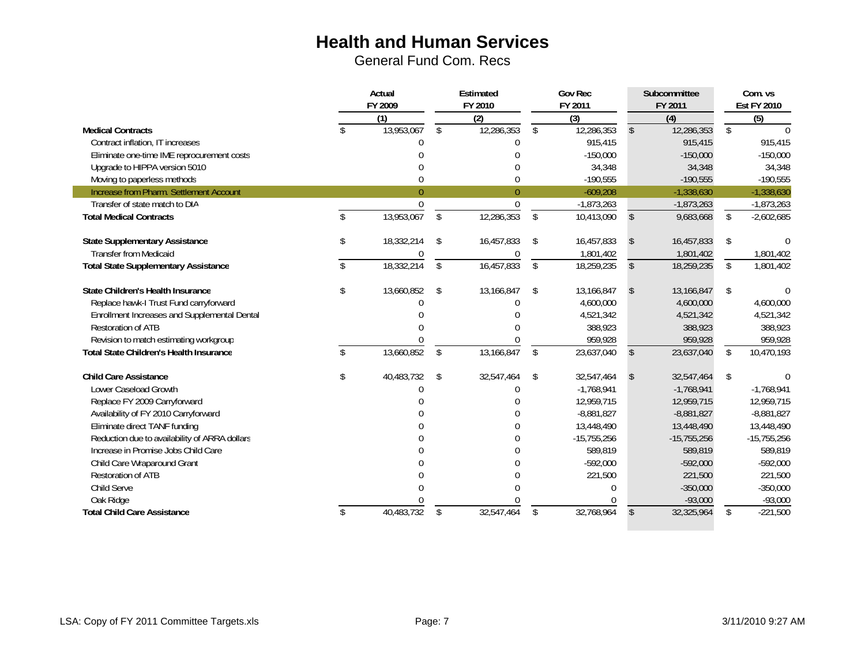|                                                | Actual<br>FY 2009 |                  | Estimated          |                  |                    | <b>Gov Rec</b> |               | Subcommittee  | Com. vs            |                  |  |
|------------------------------------------------|-------------------|------------------|--------------------|------------------|--------------------|----------------|---------------|---------------|--------------------|------------------|--|
|                                                |                   |                  |                    | FY 2010          |                    | FY 2011        |               | FY 2011       | <b>Est FY 2010</b> |                  |  |
|                                                |                   | $\overline{(1)}$ |                    | $\overline{(2)}$ |                    | $\overline{3}$ |               | (4)           |                    | $\overline{(5)}$ |  |
| <b>Medical Contracts</b>                       |                   | 13,953,067       | $\mathbf{\hat{S}}$ | 12,286,353       | $\mathbf{\hat{s}}$ | 12,286,353     | \$.           | 12,286,353    | $\mathbb{S}$       |                  |  |
| Contract inflation, IT increases               |                   | O                |                    | U                |                    | 915,415        |               | 915,415       |                    | 915,415          |  |
| Eliminate one-time IME reprocurement costs     |                   |                  |                    |                  |                    | $-150,000$     |               | $-150,000$    |                    | $-150,000$       |  |
| Upgrade to HIPPA version 5010                  |                   |                  |                    | U                |                    | 34,348         |               | 34,348        |                    | 34,348           |  |
| Moving to paperless methods                    |                   | 0                |                    | 0                |                    | $-190,555$     |               | $-190,555$    |                    | $-190,555$       |  |
| Increase from Pharm. Settlement Account        |                   | $\theta$         |                    | $\theta$         |                    | $-609,208$     |               | $-1,338,630$  |                    | $-1,338,630$     |  |
| Transfer of state match to DIA                 |                   | $\mathbf{0}$     |                    | $\mathbf{0}$     |                    | $-1,873,263$   |               | $-1,873,263$  |                    | $-1,873,263$     |  |
| <b>Total Medical Contracts</b>                 |                   | 13,953,067       | \$                 | 12,286,353       | \$                 | 10,413,090     | \$            | 9,683,668     | \$                 | $-2,602,685$     |  |
| <b>State Supplementary Assistance</b>          | \$                | 18,332,214       | S.                 | 16,457,833       | \$                 | 16,457,833     | \$            | 16,457,833    | \$                 |                  |  |
| <b>Transfer from Medicaid</b>                  |                   |                  |                    | $\theta$         |                    | 1,801,402      |               | 1,801,402     |                    | 1,801,402        |  |
| <b>Total State Supplementary Assistance</b>    | \$                | 18,332,214       | \$                 | 16,457,833       | $\mathbf{\hat{S}}$ | 18,259,235     | $\mathsf{\$}$ | 18,259,235    | \$                 | 1,801,402        |  |
| State Children's Health Insurance              | \$                | 13,660,852       | \$                 | 13,166,847       | \$                 | 13,166,847     | \$            | 13,166,847    | \$                 |                  |  |
| Replace hawk-I Trust Fund carryforward         |                   |                  |                    |                  |                    | 4,600,000      |               | 4,600,000     |                    | 4,600,000        |  |
| Enrollment Increases and Supplemental Dental   |                   |                  |                    |                  |                    | 4,521,342      |               | 4,521,342     |                    | 4,521,342        |  |
| <b>Restoration of ATB</b>                      |                   |                  |                    |                  |                    | 388,923        |               | 388,923       |                    | 388,923          |  |
| Revision to match estimating workgroup         |                   |                  |                    |                  |                    | 959,928        |               | 959,928       |                    | 959,928          |  |
| <b>Total State Children's Health Insurance</b> |                   | 13,660,852       | \$                 | 13,166,847       | \$                 | 23,637,040     | \$            | 23,637,040    | \$                 | 10,470,193       |  |
| <b>Child Care Assistance</b>                   | \$                | 40,483,732       | \$                 | 32,547,464       | \$                 | 32,547,464     | \$            | 32,547,464    | \$                 |                  |  |
| Lower Caseload Growth                          |                   |                  |                    | 0                |                    | $-1.768.941$   |               | $-1.768.941$  |                    | $-1,768,941$     |  |
| Replace FY 2009 Carryforward                   |                   |                  |                    |                  |                    | 12,959,715     |               | 12,959,715    |                    | 12,959,715       |  |
| Availability of FY 2010 Carryforward           |                   |                  |                    |                  |                    | $-8,881,827$   |               | $-8,881,827$  |                    | $-8,881,827$     |  |
| Eliminate direct TANF funding                  |                   |                  |                    | 0                |                    | 13,448,490     |               | 13,448,490    |                    | 13,448,490       |  |
| Reduction due to availability of ARRA dollars  |                   |                  |                    | U                |                    | $-15,755,256$  |               | $-15,755,256$ |                    | $-15,755,256$    |  |
| Increase in Promise Jobs Child Care            |                   |                  |                    |                  |                    | 589,819        |               | 589,819       |                    | 589,819          |  |
| Child Care Wraparound Grant                    |                   |                  |                    |                  |                    | $-592,000$     |               | $-592,000$    |                    | $-592,000$       |  |
| <b>Restoration of ATB</b>                      |                   |                  |                    |                  |                    | 221,500        |               | 221,500       |                    | 221,500          |  |
| Child Serve                                    |                   |                  |                    |                  |                    | $\Omega$       |               | $-350,000$    |                    | $-350,000$       |  |
| Oak Ridge                                      |                   |                  |                    |                  |                    |                |               | $-93,000$     |                    | $-93,000$        |  |
| <b>Total Child Care Assistance</b>             | \$                | 40,483,732       | \$                 | 32,547,464       | \$                 | 32,768,964     | \$            | 32,325,964    | \$                 | $-221,500$       |  |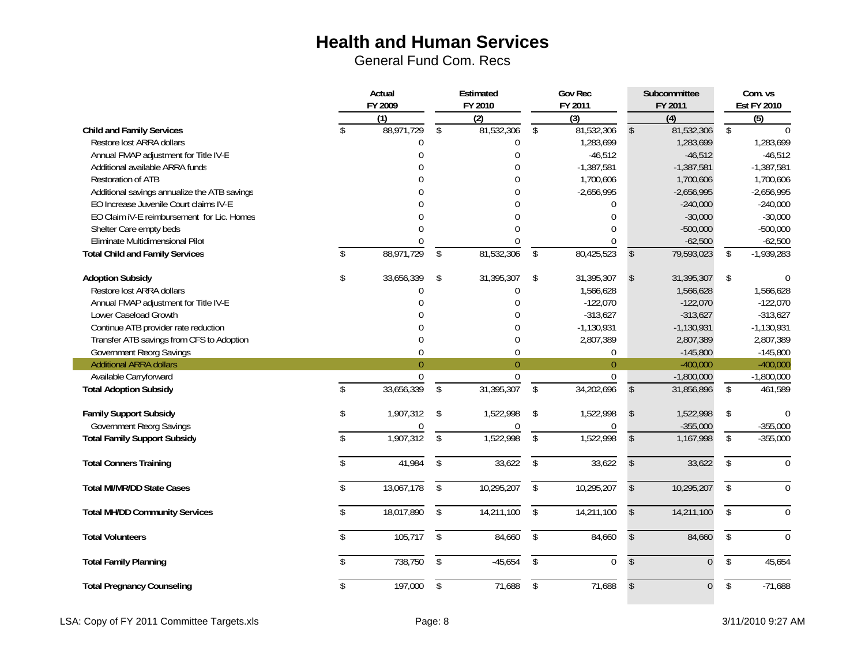General Fund Com. Recs

|                                              | Actual        |                  |                         | Estimated      |                         | <b>Gov Rec</b><br>FY 2011 |                         | Subcommittee   | Com. vs                   |              |  |
|----------------------------------------------|---------------|------------------|-------------------------|----------------|-------------------------|---------------------------|-------------------------|----------------|---------------------------|--------------|--|
|                                              |               | FY 2009<br>(1)   |                         | FY 2010<br>(2) |                         | (3)                       |                         | FY 2011<br>(4) | <b>Est FY 2010</b><br>(5) |              |  |
| <b>Child and Family Services</b>             | \$            | 88,971,729       | \$                      | 81,532,306     | \$                      | 81,532,306                | $\mathbf{\hat{S}}$      | 81,532,306     | \$                        |              |  |
| Restore lost ARRA dollars                    |               | 0                |                         | 0              |                         | 1,283,699                 |                         | 1,283,699      |                           | 1,283,699    |  |
| Annual FMAP adjustment for Title IV-E        |               | $\Omega$         |                         | $\theta$       |                         | $-46,512$                 |                         | $-46,512$      |                           | $-46,512$    |  |
| Additional available ARRA funds              |               | $\Omega$         |                         | $\theta$       |                         | $-1,387,581$              |                         | $-1,387,581$   |                           | $-1,387,581$ |  |
| <b>Restoration of ATB</b>                    |               | U                |                         | $\theta$       |                         | 1,700,606                 |                         | 1,700,606      |                           | 1,700,606    |  |
| Additional savings annualize the ATB savings |               |                  |                         | $\mathbf{0}$   |                         | $-2,656,995$              |                         | $-2,656,995$   |                           | $-2,656,995$ |  |
| EO Increase Juvenile Court claims IV-E       |               |                  |                         | $\theta$       |                         | 0                         |                         | $-240,000$     |                           | $-240,000$   |  |
| EO Claim IV-E reimbursement for Lic. Homes   |               |                  |                         | $\Omega$       |                         | $\mathbf{0}$              |                         | $-30,000$      |                           | $-30,000$    |  |
| Shelter Care empty beds                      |               | $\Omega$         |                         | $\theta$       |                         | $\mathbf{0}$              |                         | $-500,000$     |                           | $-500,000$   |  |
| Eliminate Multidimensional Pilot             |               | $\Omega$         |                         | $\Omega$       |                         | $\Omega$                  |                         | $-62,500$      |                           | $-62,500$    |  |
| <b>Total Child and Family Services</b>       | $\mathcal{S}$ | 88,971,729       | \$                      | 81,532,306     | \$                      | 80,425,523                | $\mathsf{\$}$           | 79,593,023     | \$                        | $-1,939,283$ |  |
| <b>Adoption Subsidy</b>                      | \$            | 33,656,339       | \$                      | 31,395,307     | \$                      | 31,395,307                | $\mathsf{\$}$           | 31,395,307     | \$                        | $\Omega$     |  |
| Restore lost ARRA dollars                    |               | 0                |                         | 0              |                         | 1,566,628                 |                         | 1,566,628      |                           | 1,566,628    |  |
| Annual FMAP adjustment for Title IV-E        |               | $\Omega$         |                         | $\theta$       |                         | $-122,070$                |                         | $-122,070$     |                           | $-122,070$   |  |
| Lower Caseload Growth                        |               | U                |                         | $\mathbf 0$    |                         | $-313,627$                |                         | $-313,627$     |                           | $-313,627$   |  |
| Continue ATB provider rate reduction         |               | 0                |                         | 0              |                         | $-1,130,931$              |                         | $-1,130,931$   |                           | $-1,130,931$ |  |
| Transfer ATB savings from CFS to Adoption    |               | $\pmb{0}$        |                         | 0              |                         | 2,807,389                 |                         | 2,807,389      |                           | 2,807,389    |  |
| Government Reorg Savings                     |               | $\boldsymbol{0}$ |                         | 0              |                         | $\boldsymbol{0}$          |                         | $-145,800$     |                           | $-145,800$   |  |
| <b>Additional ARRA dollars</b>               |               | $\overline{0}$   |                         | $\mathbf{0}$   |                         | $\overline{0}$            |                         | $-400,000$     |                           | $-400,000$   |  |
| Available Carryforward                       |               | 0                |                         | 0              |                         | $\mathbf 0$               |                         | $-1,800,000$   |                           | $-1,800,000$ |  |
| <b>Total Adoption Subsidy</b>                | \$            | 33,656,339       | \$                      | 31,395,307     | \$                      | 34,202,696                | $\mathsf{\$}$           | 31,856,896     | \$                        | 461,589      |  |
| <b>Family Support Subsidy</b>                | \$            | 1,907,312        | \$                      | 1,522,998      | -\$                     | 1,522,998                 | $\sqrt[6]{\frac{1}{2}}$ | 1,522,998      | \$                        | $\theta$     |  |
| Government Reorg Savings                     |               | 0                |                         | 0              |                         | 0                         |                         | $-355,000$     |                           | $-355,000$   |  |
| <b>Total Family Support Subsidy</b>          | \$            | 1,907,312        | \$                      | 1,522,998      | \$                      | 1,522,998                 | $\mathsf{\$}$           | 1,167,998      | \$                        | $-355,000$   |  |
| <b>Total Conners Training</b>                | \$            | 41,984           | \$                      | 33,622         | $\sqrt[6]{\frac{1}{2}}$ | 33,622                    | \$                      | 33,622         | \$                        | $\Omega$     |  |
| <b>Total MI/MR/DD State Cases</b>            | $\mathsf{\$}$ | 13,067,178       | \$                      | 10,295,207     | $\sqrt[6]{\frac{1}{2}}$ | 10,295,207                | $\mathsf{\$}$           | 10,295,207     | \$                        | $\Omega$     |  |
| <b>Total MH/DD Community Services</b>        | \$            | 18,017,890       | $\sqrt[6]{\frac{1}{2}}$ | 14,211,100     | $\sqrt[6]{\frac{1}{2}}$ | 14,211,100                | \$                      | 14,211,100     | \$                        | $\Omega$     |  |
| <b>Total Volunteers</b>                      | \$            | 105,717          | \$                      | 84,660         | \$                      | 84,660                    | \$                      | 84,660         | \$                        | $\theta$     |  |
| <b>Total Family Planning</b>                 | \$            | 738,750          | \$                      | $-45,654$      | \$                      | $\pmb{0}$                 | $\sqrt[6]{\frac{1}{2}}$ | $\overline{0}$ | $\sqrt[6]{}$              | 45,654       |  |
| <b>Total Pregnancy Counseling</b>            | \$            | 197,000          | \$                      | 71,688         | \$                      | 71,688                    | \$                      | $\overline{0}$ | $\overline{\$}$           | $-71,688$    |  |

LSA: Copy of FY 2011 Committee Targets.xls **Exercise 2012** Page: 8 3/11/2010 9:27 AM